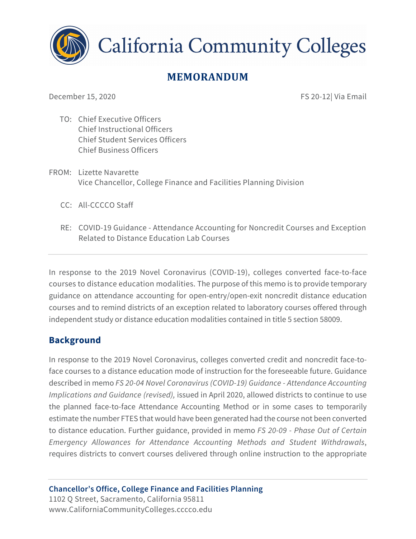

**California Community Colleges** 

# **MEMORANDUM**

December 15, 2020 **FS 20-12| Via Email** 

- TO: Chief Executive Officers Chief Instructional Officers Chief Student Services Officers Chief Business Officers
- FROM: Lizette Navarette Vice Chancellor, College Finance and Facilities Planning Division
	- CC: All-CCCCO Staff
	- RE: COVID-19 Guidance Attendance Accounting for Noncredit Courses and Exception Related to Distance Education Lab Courses

In response to the 2019 Novel Coronavirus (COVID-19), colleges converted face-to-face courses to distance education modalities. The purpose of this memo is to provide temporary guidance on attendance accounting for open-entry/open-exit noncredit distance education courses and to remind districts of an exception related to laboratory courses offered through independent study or distance education modalities contained in title 5 section 58009.

# **Background**

In response to the 2019 Novel Coronavirus, colleges converted credit and noncredit face-toface courses to a distance education mode of instruction for the foreseeable future. Guidance described in memo *FS 20-04 Novel Coronavirus (COVID-19) Guidance - Attendance Accounting Implications and Guidance (revised),* issued in April 2020, allowed districts to continue to use the planned face-to-face Attendance Accounting Method or in some cases to temporarily estimate the number FTES that would have been generated had the course not been converted to distance education. Further guidance, provided in memo *FS 20-09 - Phase Out of Certain Emergency Allowances for Attendance Accounting Methods and Student Withdrawals*, requires districts to convert courses delivered through online instruction to the appropriate

**Chancellor's Office, College Finance and Facilities Planning** 1102 Q Street, Sacramento, California 95811 www.CaliforniaCommunityColleges.cccco.edu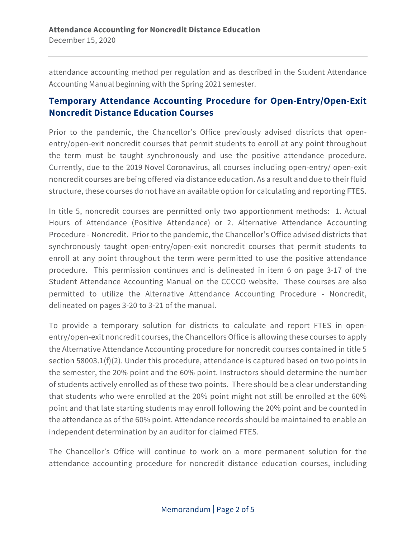attendance accounting method per regulation and as described in the Student Attendance Accounting Manual beginning with the Spring 2021 semester.

# **Temporary Attendance Accounting Procedure for Open-Entry/Open-Exit Noncredit Distance Education Courses**

Prior to the pandemic, the Chancellor's Office previously advised districts that openentry/open-exit noncredit courses that permit students to enroll at any point throughout the term must be taught synchronously and use the positive attendance procedure. Currently, due to the 2019 Novel Coronavirus, all courses including open-entry/ open-exit noncredit courses are being offered via distance education. As a result and due to their fluid structure, these courses do not have an available option for calculating and reporting FTES.

In title 5, noncredit courses are permitted only two apportionment methods: 1. Actual Hours of Attendance (Positive Attendance) or 2. Alternative Attendance Accounting Procedure - Noncredit. Prior to the pandemic, the Chancellor's Office advised districts that synchronously taught open-entry/open-exit noncredit courses that permit students to enroll at any point throughout the term were permitted to use the positive attendance procedure. This permission continues and is delineated in item 6 on page 3-17 of the Student Attendance Accounting Manual on the CCCCO website. These courses are also permitted to utilize the Alternative Attendance Accounting Procedure - Noncredit, delineated on pages 3-20 to 3-21 of the manual.

To provide a temporary solution for districts to calculate and report FTES in openentry/open-exit noncredit courses, the Chancellors Office is allowing these courses to apply the Alternative Attendance Accounting procedure for noncredit courses contained in title 5 section 58003.1(f)(2). Under this procedure, attendance is captured based on two points in the semester, the 20% point and the 60% point. Instructors should determine the number of students actively enrolled as of these two points. There should be a clear understanding that students who were enrolled at the 20% point might not still be enrolled at the 60% point and that late starting students may enroll following the 20% point and be counted in the attendance as of the 60% point. Attendance records should be maintained to enable an independent determination by an auditor for claimed FTES.

The Chancellor's Office will continue to work on a more permanent solution for the attendance accounting procedure for noncredit distance education courses, including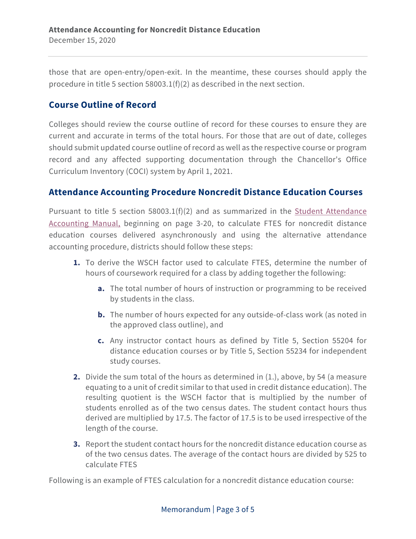those that are open-entry/open-exit. In the meantime, these courses should apply the procedure in title 5 section 58003.1(f)(2) as described in the next section.

## **Course Outline of Record**

Colleges should review the course outline of record for these courses to ensure they are current and accurate in terms of the total hours. For those that are out of date, colleges should submit updated course outline of record as well as the respective course or program record and any affected supporting documentation through the Chancellor's Office Curriculum Inventory (COCI) system by April 1, 2021.

### **Attendance Accounting Procedure Noncredit Distance Education Courses**

Pursuant to title 5 section 58003.1(f)(2) and as summarized in the Student Attendance Accounting Manual, beginning on page 3-20, to calculate FTES for noncredit distance education courses delivered asynchronously and using the alternative attendance accounting procedure, districts should follow these steps:

- **1.** To derive the WSCH factor used to calculate FTES, determine the number of hours of coursework required for a class by adding together the following:
	- **a.** The total number of hours of instruction or programming to be received by students in the class.
	- **b.** The number of hours expected for any outside-of-class work (as noted in the approved class outline), and
	- **c.** Any instructor contact hours as defined by Title 5, Section 55204 for distance education courses or by Title 5, Section 55234 for independent study courses.
- **2.** Divide the sum total of the hours as determined in (1.), above, by 54 (a measure equating to a unit of credit similar to that used in credit distance education). The resulting quotient is the WSCH factor that is multiplied by the number of students enrolled as of the two census dates. The student contact hours thus derived are multiplied by 17.5. The factor of 17.5 is to be used irrespective of the length of the course.
- **3.** Report the student contact hours for the noncredit distance education course as of the two census dates. The average of the contact hours are divided by 525 to calculate FTES

Following is an example of FTES calculation for a noncredit distance education course: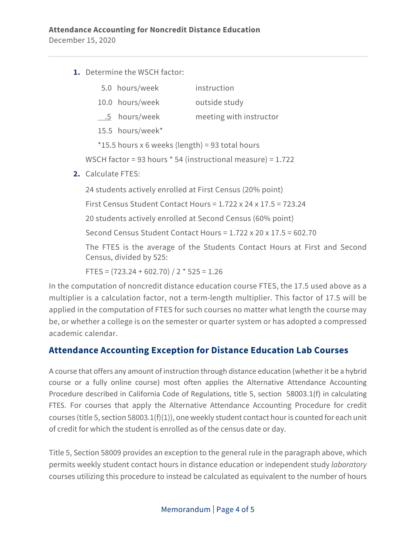**1.** Determine the WSCH factor:

| 5.0 hours/week | instruction |
|----------------|-------------|
|                |             |

- 10.0 hours/week outside study
- .5 hours/week meeting with instructor
- 15.5 hours/week\*

\*15.5 hours x 6 weeks (length) = 93 total hours

WSCH factor = 93 hours \* 54 (instructional measure) = 1.722

**2.** Calculate FTES:

24 students actively enrolled at First Census (20% point)

First Census Student Contact Hours = 1.722 x 24 x 17.5 = 723.24

20 students actively enrolled at Second Census (60% point)

Second Census Student Contact Hours = 1.722 x 20 x 17.5 = 602.70

The FTES is the average of the Students Contact Hours at First and Second Census, divided by 525:

FTES =  $(723.24 + 602.70) / 2 * 525 = 1.26$ 

In the computation of noncredit distance education course FTES, the 17.5 used above as a multiplier is a calculation factor, not a term-length multiplier. This factor of 17.5 will be applied in the computation of FTES for such courses no matter what length the course may be, or whether a college is on the semester or quarter system or has adopted a compressed academic calendar.

### **Attendance Accounting Exception for Distance Education Lab Courses**

A course that offers any amount of instruction through distance education (whether it be a hybrid course or a fully online course) most often applies the Alternative Attendance Accounting Procedure described in California Code of Regulations, title 5, section 58003.1(f) in calculating FTES. For courses that apply the Alternative Attendance Accounting Procedure for credit courses (title 5, section 58003.1(f)(1)), one weekly student contact hour is counted for each unit of credit for which the student is enrolled as of the census date or day.

Title 5, Section 58009 provides an exception to the general rule in the paragraph above, which permits weekly student contact hours in distance education or independent study *laboratory* courses utilizing this procedure to instead be calculated as equivalent to the number of hours